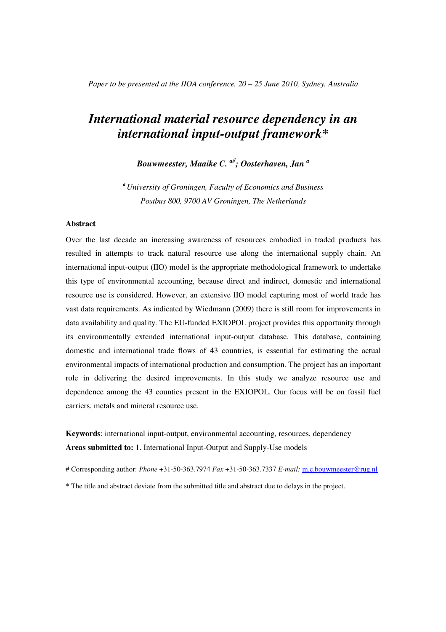*Paper to be presented at the IIOA conference, 20 – 25 June 2010, Sydney, Australia* 

# *International material resource dependency in an international input-output framework\**

*Bouwmeester, Maaike C. a#; Oosterhaven, Jan <sup>a</sup>*

*<sup>a</sup>University of Groningen, Faculty of Economics and Business Postbus 800, 9700 AV Groningen, The Netherlands* 

#### **Abstract**

Over the last decade an increasing awareness of resources embodied in traded products has resulted in attempts to track natural resource use along the international supply chain. An international input-output (IIO) model is the appropriate methodological framework to undertake this type of environmental accounting, because direct and indirect, domestic and international resource use is considered. However, an extensive IIO model capturing most of world trade has vast data requirements. As indicated by Wiedmann (2009) there is still room for improvements in data availability and quality. The EU-funded EXIOPOL project provides this opportunity through its environmentally extended international input-output database. This database, containing domestic and international trade flows of 43 countries, is essential for estimating the actual environmental impacts of international production and consumption. The project has an important role in delivering the desired improvements. In this study we analyze resource use and dependence among the 43 counties present in the EXIOPOL. Our focus will be on fossil fuel carriers, metals and mineral resource use.

**Keywords**: international input-output, environmental accounting, resources, dependency **Areas submitted to:** 1. International Input-Output and Supply-Use models

# Corresponding author: *Phone* +31-50-363.7974 *Fax* +31-50-363.7337 *E-mail:* m.c.bouwmeester@rug.nl

\* The title and abstract deviate from the submitted title and abstract due to delays in the project.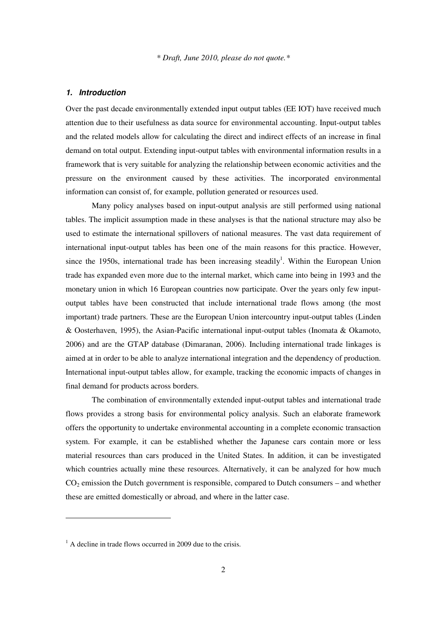#### **1. Introduction**

Over the past decade environmentally extended input output tables (EE IOT) have received much attention due to their usefulness as data source for environmental accounting. Input-output tables and the related models allow for calculating the direct and indirect effects of an increase in final demand on total output. Extending input-output tables with environmental information results in a framework that is very suitable for analyzing the relationship between economic activities and the pressure on the environment caused by these activities. The incorporated environmental information can consist of, for example, pollution generated or resources used.

 Many policy analyses based on input-output analysis are still performed using national tables. The implicit assumption made in these analyses is that the national structure may also be used to estimate the international spillovers of national measures. The vast data requirement of international input-output tables has been one of the main reasons for this practice. However, since the 1950s, international trade has been increasing steadily<sup>1</sup>. Within the European Union trade has expanded even more due to the internal market, which came into being in 1993 and the monetary union in which 16 European countries now participate. Over the years only few inputoutput tables have been constructed that include international trade flows among (the most important) trade partners. These are the European Union intercountry input-output tables (Linden & Oosterhaven, 1995), the Asian-Pacific international input-output tables (Inomata & Okamoto, 2006) and are the GTAP database (Dimaranan, 2006). Including international trade linkages is aimed at in order to be able to analyze international integration and the dependency of production. International input-output tables allow, for example, tracking the economic impacts of changes in final demand for products across borders.

 The combination of environmentally extended input-output tables and international trade flows provides a strong basis for environmental policy analysis. Such an elaborate framework offers the opportunity to undertake environmental accounting in a complete economic transaction system. For example, it can be established whether the Japanese cars contain more or less material resources than cars produced in the United States. In addition, it can be investigated which countries actually mine these resources. Alternatively, it can be analyzed for how much  $CO<sub>2</sub>$  emission the Dutch government is responsible, compared to Dutch consumers – and whether these are emitted domestically or abroad, and where in the latter case.

-

<sup>&</sup>lt;sup>1</sup> A decline in trade flows occurred in 2009 due to the crisis.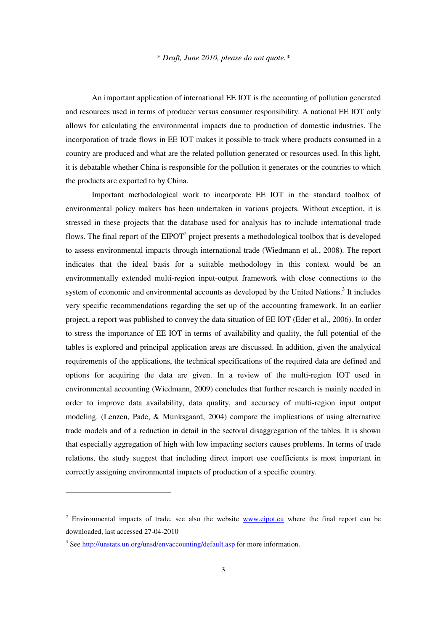An important application of international EE IOT is the accounting of pollution generated and resources used in terms of producer versus consumer responsibility. A national EE IOT only allows for calculating the environmental impacts due to production of domestic industries. The incorporation of trade flows in EE IOT makes it possible to track where products consumed in a country are produced and what are the related pollution generated or resources used. In this light, it is debatable whether China is responsible for the pollution it generates or the countries to which the products are exported to by China.

 Important methodological work to incorporate EE IOT in the standard toolbox of environmental policy makers has been undertaken in various projects. Without exception, it is stressed in these projects that the database used for analysis has to include international trade flows. The final report of the  $EIPOT<sup>2</sup>$  project presents a methodological toolbox that is developed to assess environmental impacts through international trade (Wiedmann et al., 2008). The report indicates that the ideal basis for a suitable methodology in this context would be an environmentally extended multi-region input-output framework with close connections to the system of economic and environmental accounts as developed by the United Nations.<sup>3</sup> It includes very specific recommendations regarding the set up of the accounting framework. In an earlier project, a report was published to convey the data situation of EE IOT (Eder et al., 2006). In order to stress the importance of EE IOT in terms of availability and quality, the full potential of the tables is explored and principal application areas are discussed. In addition, given the analytical requirements of the applications, the technical specifications of the required data are defined and options for acquiring the data are given. In a review of the multi-region IOT used in environmental accounting (Wiedmann, 2009) concludes that further research is mainly needed in order to improve data availability, data quality, and accuracy of multi-region input output modeling. (Lenzen, Pade, & Munksgaard, 2004) compare the implications of using alternative trade models and of a reduction in detail in the sectoral disaggregation of the tables. It is shown that especially aggregation of high with low impacting sectors causes problems. In terms of trade relations, the study suggest that including direct import use coefficients is most important in correctly assigning environmental impacts of production of a specific country.

**.** 

<sup>&</sup>lt;sup>2</sup> Environmental impacts of trade, see also the website **www.eipot.eu** where the final report can be downloaded, last accessed 27-04-2010

<sup>&</sup>lt;sup>3</sup> See http://unstats.un.org/unsd/envaccounting/default.asp for more information.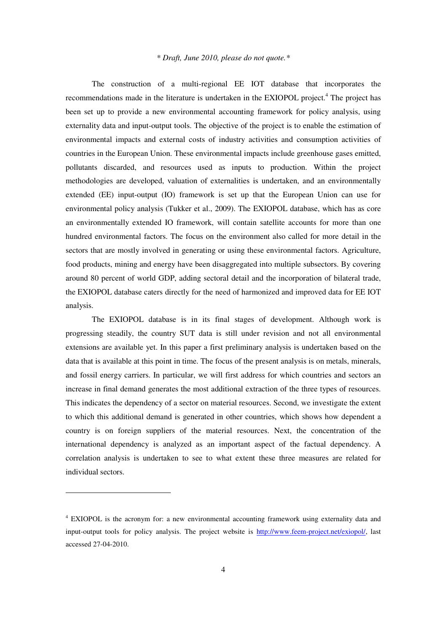The construction of a multi-regional EE IOT database that incorporates the recommendations made in the literature is undertaken in the EXIOPOL project.<sup>4</sup> The project has been set up to provide a new environmental accounting framework for policy analysis, using externality data and input-output tools. The objective of the project is to enable the estimation of environmental impacts and external costs of industry activities and consumption activities of countries in the European Union. These environmental impacts include greenhouse gases emitted, pollutants discarded, and resources used as inputs to production. Within the project methodologies are developed, valuation of externalities is undertaken, and an environmentally extended (EE) input-output (IO) framework is set up that the European Union can use for environmental policy analysis (Tukker et al., 2009). The EXIOPOL database, which has as core an environmentally extended IO framework, will contain satellite accounts for more than one hundred environmental factors. The focus on the environment also called for more detail in the sectors that are mostly involved in generating or using these environmental factors. Agriculture, food products, mining and energy have been disaggregated into multiple subsectors. By covering around 80 percent of world GDP, adding sectoral detail and the incorporation of bilateral trade, the EXIOPOL database caters directly for the need of harmonized and improved data for EE IOT analysis.

 The EXIOPOL database is in its final stages of development. Although work is progressing steadily, the country SUT data is still under revision and not all environmental extensions are available yet. In this paper a first preliminary analysis is undertaken based on the data that is available at this point in time. The focus of the present analysis is on metals, minerals, and fossil energy carriers. In particular, we will first address for which countries and sectors an increase in final demand generates the most additional extraction of the three types of resources. This indicates the dependency of a sector on material resources. Second, we investigate the extent to which this additional demand is generated in other countries, which shows how dependent a country is on foreign suppliers of the material resources. Next, the concentration of the international dependency is analyzed as an important aspect of the factual dependency. A correlation analysis is undertaken to see to what extent these three measures are related for individual sectors.

**.** 

<sup>&</sup>lt;sup>4</sup> EXIOPOL is the acronym for: a new environmental accounting framework using externality data and input-output tools for policy analysis. The project website is http://www.feem-project.net/exiopol/, last accessed 27-04-2010.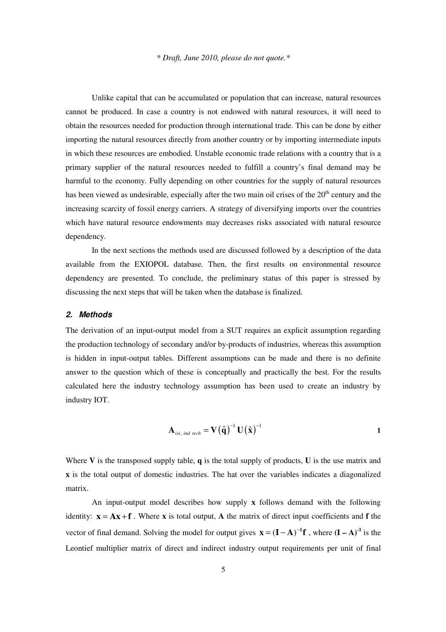Unlike capital that can be accumulated or population that can increase, natural resources cannot be produced. In case a country is not endowed with natural resources, it will need to obtain the resources needed for production through international trade. This can be done by either importing the natural resources directly from another country or by importing intermediate inputs in which these resources are embodied. Unstable economic trade relations with a country that is a primary supplier of the natural resources needed to fulfill a country's final demand may be harmful to the economy. Fully depending on other countries for the supply of natural resources has been viewed as undesirable, especially after the two main oil crises of the  $20<sup>th</sup>$  century and the increasing scarcity of fossil energy carriers. A strategy of diversifying imports over the countries which have natural resource endowments may decreases risks associated with natural resource dependency.

 In the next sections the methods used are discussed followed by a description of the data available from the EXIOPOL database. Then, the first results on environmental resource dependency are presented. To conclude, the preliminary status of this paper is stressed by discussing the next steps that will be taken when the database is finalized.

#### **2. Methods**

The derivation of an input-output model from a SUT requires an explicit assumption regarding the production technology of secondary and/or by-products of industries, whereas this assumption is hidden in input-output tables. Different assumptions can be made and there is no definite answer to the question which of these is conceptually and practically the best. For the results calculated here the industry technology assumption has been used to create an industry by industry IOT.

$$
\mathbf{A}_{ixi, ind\;tech} = \mathbf{V}(\hat{\mathbf{q}})^{-1}\mathbf{U}(\hat{\mathbf{x}})^{-1}
$$

Where **V** is the transposed supply table, **q** is the total supply of products, **U** is the use matrix and **x** is the total output of domestic industries. The hat over the variables indicates a diagonalized matrix.

 An input-output model describes how supply **x** follows demand with the following identity:  $\mathbf{x} = \mathbf{A}\mathbf{x} + \mathbf{f}$ . Where **x** is total output, **A** the matrix of direct input coefficients and **f** the vector of final demand. Solving the model for output gives  $\mathbf{x} = (\mathbf{I} - \mathbf{A})^{-1} \mathbf{f}$ , where  $(\mathbf{I} - \mathbf{A})^{-1}$  is the Leontief multiplier matrix of direct and indirect industry output requirements per unit of final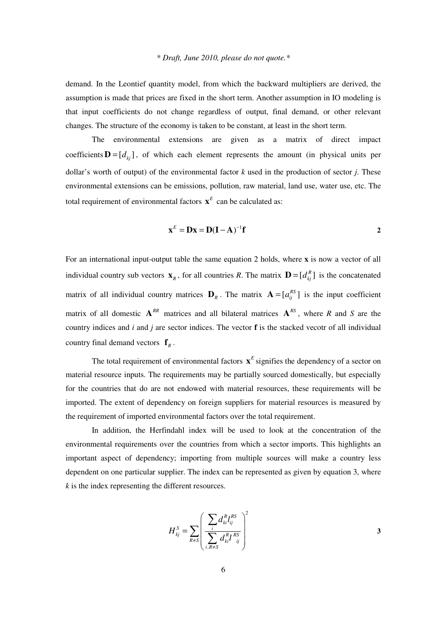demand. In the Leontief quantity model, from which the backward multipliers are derived, the assumption is made that prices are fixed in the short term. Another assumption in IO modeling is that input coefficients do not change regardless of output, final demand, or other relevant changes. The structure of the economy is taken to be constant, at least in the short term.

 The environmental extensions are given as a matrix of direct impact coefficients  $\mathbf{D} = [d_{ki}]$ , of which each element represents the amount (in physical units per dollar's worth of output) of the environmental factor *k* used in the production of sector *j*. These environmental extensions can be emissions, pollution, raw material, land use, water use, etc. The total requirement of environmental factors  $\mathbf{x}^E$  can be calculated as:

$$
\mathbf{x}^E = \mathbf{D}\mathbf{x} = \mathbf{D}(\mathbf{I} - \mathbf{A})^{-1}\mathbf{f}
$$

For an international input-output table the same equation 2 holds, where **x** is now a vector of all individual country sub vectors  $\mathbf{x}_R$ , for all countries *R*. The matrix  $\mathbf{D} = [d_{kj}^R]$  is the concatenated matrix of all individual country matrices  $\mathbf{D}_R$ . The matrix  $\mathbf{A} = [a_{ij}^{RS}]$  is the input coefficient matrix of all domestic  $A^{RR}$  matrices and all bilateral matrices  $A^{RS}$ , where R and S are the country indices and *i* and *j* are sector indices. The vector **f** is the stacked vecotr of all individual country final demand vectors  $\mathbf{f}_R$ .

The total requirement of environmental factors  $\mathbf{x}^E$  signifies the dependency of a sector on material resource inputs. The requirements may be partially sourced domestically, but especially for the countries that do are not endowed with material resources, these requirements will be imported. The extent of dependency on foreign suppliers for material resources is measured by the requirement of imported environmental factors over the total requirement.

 In addition, the Herfindahl index will be used to look at the concentration of the environmental requirements over the countries from which a sector imports. This highlights an important aspect of dependency; importing from multiple sources will make a country less dependent on one particular supplier. The index can be represented as given by equation 3, where *k* is the index representing the different resources.

$$
H_{kj}^{S} = \sum_{R \neq S} \left( \frac{\sum_{i} d_{ki}^{R} l_{ij}^{RS}}{\sum_{i, R \neq S} d_{ki}^{R} l_{ij}^{RS}} \right)^{2}
$$
3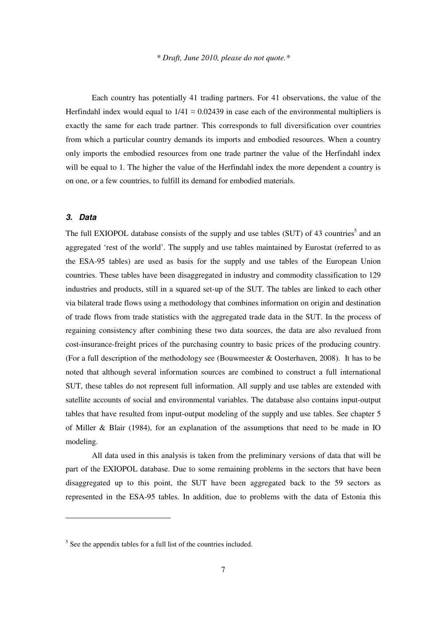Each country has potentially 41 trading partners. For 41 observations, the value of the Herfindahl index would equal to  $1/41 \approx 0.02439$  in case each of the environmental multipliers is exactly the same for each trade partner. This corresponds to full diversification over countries from which a particular country demands its imports and embodied resources. When a country only imports the embodied resources from one trade partner the value of the Herfindahl index will be equal to 1. The higher the value of the Herfindahl index the more dependent a country is on one, or a few countries, to fulfill its demand for embodied materials.

#### **3. Data**

-

The full EXIOPOL database consists of the supply and use tables (SUT) of 43 countries<sup>5</sup> and an aggregated 'rest of the world'. The supply and use tables maintained by Eurostat (referred to as the ESA-95 tables) are used as basis for the supply and use tables of the European Union countries. These tables have been disaggregated in industry and commodity classification to 129 industries and products, still in a squared set-up of the SUT. The tables are linked to each other via bilateral trade flows using a methodology that combines information on origin and destination of trade flows from trade statistics with the aggregated trade data in the SUT. In the process of regaining consistency after combining these two data sources, the data are also revalued from cost-insurance-freight prices of the purchasing country to basic prices of the producing country. (For a full description of the methodology see (Bouwmeester & Oosterhaven, 2008). It has to be noted that although several information sources are combined to construct a full international SUT, these tables do not represent full information. All supply and use tables are extended with satellite accounts of social and environmental variables. The database also contains input-output tables that have resulted from input-output modeling of the supply and use tables. See chapter 5 of Miller & Blair (1984), for an explanation of the assumptions that need to be made in IO modeling.

 All data used in this analysis is taken from the preliminary versions of data that will be part of the EXIOPOL database. Due to some remaining problems in the sectors that have been disaggregated up to this point, the SUT have been aggregated back to the 59 sectors as represented in the ESA-95 tables. In addition, due to problems with the data of Estonia this

 $<sup>5</sup>$  See the appendix tables for a full list of the countries included.</sup>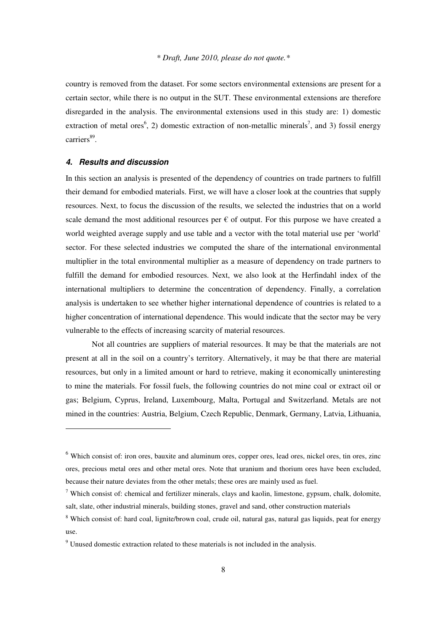country is removed from the dataset. For some sectors environmental extensions are present for a certain sector, while there is no output in the SUT. These environmental extensions are therefore disregarded in the analysis. The environmental extensions used in this study are: 1) domestic extraction of metal ores<sup>6</sup>, 2) domestic extraction of non-metallic minerals<sup>7</sup>, and 3) fossil energy carriers<sup>89</sup>.

#### **4. Results and discussion**

**.** 

In this section an analysis is presented of the dependency of countries on trade partners to fulfill their demand for embodied materials. First, we will have a closer look at the countries that supply resources. Next, to focus the discussion of the results, we selected the industries that on a world scale demand the most additional resources per  $\epsilon$  of output. For this purpose we have created a world weighted average supply and use table and a vector with the total material use per 'world' sector. For these selected industries we computed the share of the international environmental multiplier in the total environmental multiplier as a measure of dependency on trade partners to fulfill the demand for embodied resources. Next, we also look at the Herfindahl index of the international multipliers to determine the concentration of dependency. Finally, a correlation analysis is undertaken to see whether higher international dependence of countries is related to a higher concentration of international dependence. This would indicate that the sector may be very vulnerable to the effects of increasing scarcity of material resources.

 Not all countries are suppliers of material resources. It may be that the materials are not present at all in the soil on a country's territory. Alternatively, it may be that there are material resources, but only in a limited amount or hard to retrieve, making it economically uninteresting to mine the materials. For fossil fuels, the following countries do not mine coal or extract oil or gas; Belgium, Cyprus, Ireland, Luxembourg, Malta, Portugal and Switzerland. Metals are not mined in the countries: Austria, Belgium, Czech Republic, Denmark, Germany, Latvia, Lithuania,

<sup>&</sup>lt;sup>6</sup> Which consist of: iron ores, bauxite and aluminum ores, copper ores, lead ores, nickel ores, tin ores, zinc ores, precious metal ores and other metal ores. Note that uranium and thorium ores have been excluded, because their nature deviates from the other metals; these ores are mainly used as fuel.

<sup>&</sup>lt;sup>7</sup> Which consist of: chemical and fertilizer minerals, clays and kaolin, limestone, gypsum, chalk, dolomite, salt, slate, other industrial minerals, building stones, gravel and sand, other construction materials

<sup>&</sup>lt;sup>8</sup> Which consist of: hard coal, lignite/brown coal, crude oil, natural gas, natural gas liquids, peat for energy use.

<sup>&</sup>lt;sup>9</sup> Unused domestic extraction related to these materials is not included in the analysis.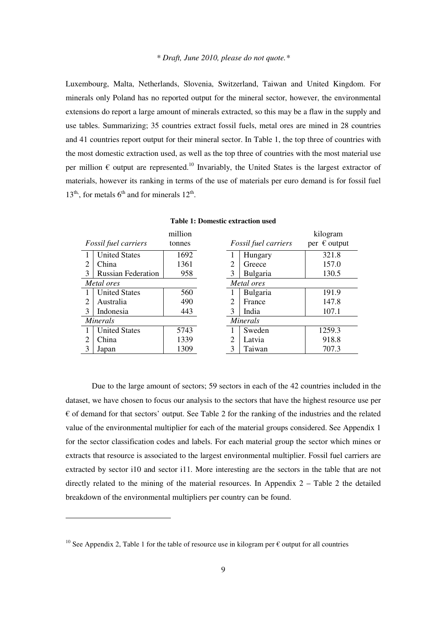Luxembourg, Malta, Netherlands, Slovenia, Switzerland, Taiwan and United Kingdom. For minerals only Poland has no reported output for the mineral sector, however, the environmental extensions do report a large amount of minerals extracted, so this may be a flaw in the supply and use tables. Summarizing; 35 countries extract fossil fuels, metal ores are mined in 28 countries and 41 countries report output for their mineral sector. In Table 1, the top three of countries with the most domestic extraction used, as well as the top three of countries with the most material use per million  $\epsilon$  output are represented.<sup>10</sup> Invariably, the United States is the largest extractor of materials, however its ranking in terms of the use of materials per euro demand is for fossil fuel  $13<sup>th</sup>$ , for metals  $6<sup>th</sup>$  and for minerals  $12<sup>th</sup>$ .

|            |                           | million |                |                      | kilogram              |
|------------|---------------------------|---------|----------------|----------------------|-----------------------|
|            | Fossil fuel carriers      | tonnes  |                | Fossil fuel carriers | per $\epsilon$ output |
|            | <b>United States</b>      | 1692    |                | Hungary              | 321.8                 |
| 2          | China                     | 1361    | 2              | Greece               | 157.0                 |
| 3          | <b>Russian Federation</b> | 958     | 3              | Bulgaria             | 130.5                 |
| Metal ores |                           |         |                | Metal ores           |                       |
|            | <b>United States</b>      | 560     |                | Bulgaria             | 191.9                 |
| 2          | Australia                 | 490     | $\overline{2}$ | France               | 147.8                 |
| 3          | Indonesia                 | 443     | 3              | India                | 107.1                 |
|            | <b>Minerals</b>           |         |                | Minerals             |                       |
|            | <b>United States</b>      | 5743    |                | Sweden               | 1259.3                |
| 2          | China                     | 1339    | 2              | Latvia               | 918.8                 |
| 3          | Japan                     | 1309    | 3              | Taiwan               | 707.3                 |

**Table 1: Domestic extraction used** 

 Due to the large amount of sectors; 59 sectors in each of the 42 countries included in the dataset, we have chosen to focus our analysis to the sectors that have the highest resource use per € of demand for that sectors' output. See Table 2 for the ranking of the industries and the related value of the environmental multiplier for each of the material groups considered. See Appendix 1 for the sector classification codes and labels. For each material group the sector which mines or extracts that resource is associated to the largest environmental multiplier. Fossil fuel carriers are extracted by sector i10 and sector i11. More interesting are the sectors in the table that are not directly related to the mining of the material resources. In Appendix  $2 -$  Table 2 the detailed breakdown of the environmental multipliers per country can be found.

-

<sup>&</sup>lt;sup>10</sup> See Appendix 2, Table 1 for the table of resource use in kilogram per  $\epsilon$  output for all countries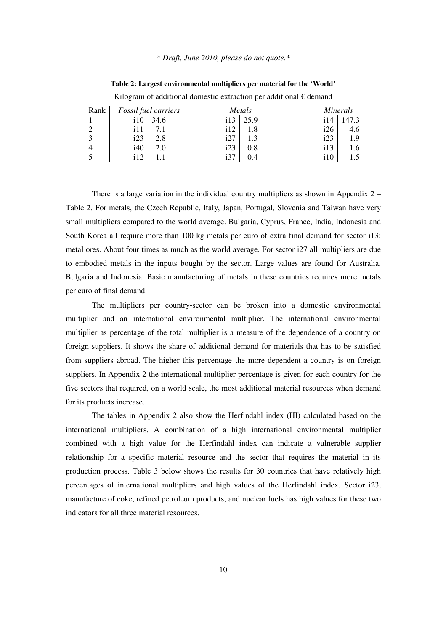| Rank |     | Fossil fuel carriers |     | Metals |                 | <i>Minerals</i> |  |  |  |
|------|-----|----------------------|-----|--------|-----------------|-----------------|--|--|--|
|      | i10 | 34.6                 | i13 | 25.9   | i14             | 147.3           |  |  |  |
|      | i11 |                      | i12 | 1.8    | i26             | 4.6             |  |  |  |
|      | i23 | 2.8                  | i27 | 1.3    | i23             | 1.9             |  |  |  |
|      | i40 | 2.0                  | i23 | 0.8    | 113             | 1.6             |  |  |  |
|      | i12 |                      | i37 | 0.4    | $\frac{110}{2}$ |                 |  |  |  |

**Table 2: Largest environmental multipliers per material for the 'World'** 

Kilogram of additional domestic extraction per additional  $\epsilon$  demand

There is a large variation in the individual country multipliers as shown in Appendix  $2 -$ Table 2. For metals, the Czech Republic, Italy, Japan, Portugal, Slovenia and Taiwan have very small multipliers compared to the world average. Bulgaria, Cyprus, France, India, Indonesia and South Korea all require more than 100 kg metals per euro of extra final demand for sector i13; metal ores. About four times as much as the world average. For sector i27 all multipliers are due to embodied metals in the inputs bought by the sector. Large values are found for Australia, Bulgaria and Indonesia. Basic manufacturing of metals in these countries requires more metals per euro of final demand.

 The multipliers per country-sector can be broken into a domestic environmental multiplier and an international environmental multiplier. The international environmental multiplier as percentage of the total multiplier is a measure of the dependence of a country on foreign suppliers. It shows the share of additional demand for materials that has to be satisfied from suppliers abroad. The higher this percentage the more dependent a country is on foreign suppliers. In Appendix 2 the international multiplier percentage is given for each country for the five sectors that required, on a world scale, the most additional material resources when demand for its products increase.

 The tables in Appendix 2 also show the Herfindahl index (HI) calculated based on the international multipliers. A combination of a high international environmental multiplier combined with a high value for the Herfindahl index can indicate a vulnerable supplier relationship for a specific material resource and the sector that requires the material in its production process. Table 3 below shows the results for 30 countries that have relatively high percentages of international multipliers and high values of the Herfindahl index. Sector i23, manufacture of coke, refined petroleum products, and nuclear fuels has high values for these two indicators for all three material resources.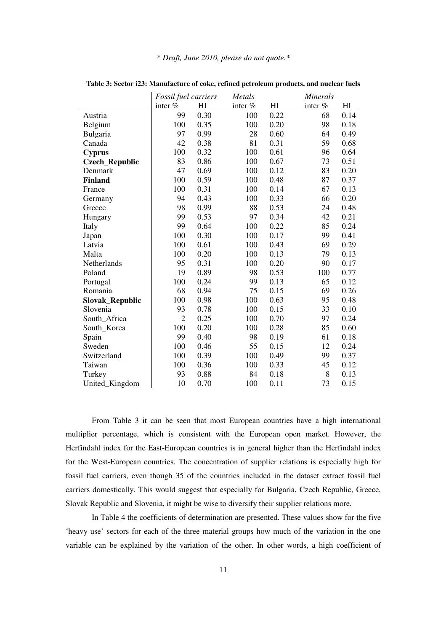|                        | Fossil fuel carriers |                | Metals  | <b>Minerals</b> |         |                |  |
|------------------------|----------------------|----------------|---------|-----------------|---------|----------------|--|
|                        | inter %              | H <sub>I</sub> | inter % | H <sub>I</sub>  | inter % | H <sub>I</sub> |  |
| Austria                | 99                   | 0.30           | 100     | 0.22            | 68      | 0.14           |  |
| Belgium                | 100                  | 0.35           | 100     | 0.20            | 98      | 0.18           |  |
| Bulgaria               | 97                   | 0.99           | 28      | 0.60            | 64      | 0.49           |  |
| Canada                 | 42                   | 0.38           | 81      | 0.31            | 59      | 0.68           |  |
| <b>Cyprus</b>          | 100                  | 0.32           | 100     | 0.61            | 96      | 0.64           |  |
| <b>Czech_Republic</b>  | 83                   | 0.86           | 100     | 0.67            | 73      | 0.51           |  |
| Denmark                | 47                   | 0.69           | 100     | 0.12            | 83      | 0.20           |  |
| <b>Finland</b>         | 100                  | 0.59           | 100     | 0.48            | 87      | 0.37           |  |
| France                 | 100                  | 0.31           | 100     | 0.14            | 67      | 0.13           |  |
| Germany                | 94                   | 0.43           | 100     | 0.33            | 66      | 0.20           |  |
| Greece                 | 98                   | 0.99           | 88      | 0.53            | 24      | 0.48           |  |
| Hungary                | 99                   | 0.53           | 97      | 0.34            | 42      | 0.21           |  |
| Italy                  | 99                   | 0.64           | 100     | 0.22            | 85      | 0.24           |  |
| Japan                  | 100                  | 0.30           | 100     | 0.17            | 99      | 0.41           |  |
| Latvia                 | 100                  | 0.61           | 100     | 0.43            | 69      | 0.29           |  |
| Malta                  | 100                  | 0.20           | 100     | 0.13            | 79      | 0.13           |  |
| Netherlands            | 95                   | 0.31           | 100     | 0.20            | 90      | 0.17           |  |
| Poland                 | 19                   | 0.89           | 98      | 0.53            | 100     | 0.77           |  |
| Portugal               | 100                  | 0.24           | 99      | 0.13            | 65      | 0.12           |  |
| Romania                | 68                   | 0.94           | 75      | 0.15            | 69      | 0.26           |  |
| <b>Slovak_Republic</b> | 100                  | 0.98           | 100     | 0.63            | 95      | 0.48           |  |
| Slovenia               | 93                   | 0.78           | 100     | 0.15            | 33      | 0.10           |  |
| South_Africa           | $\overline{2}$       | 0.25           | 100     | 0.70            | 97      | 0.24           |  |
| South_Korea            | 100                  | 0.20           | 100     | 0.28            | 85      | 0.60           |  |
| Spain                  | 99                   | 0.40           | 98      | 0.19            | 61      | 0.18           |  |
| Sweden                 | 100                  | 0.46           | 55      | 0.15            | 12      | 0.24           |  |
| Switzerland            | 100                  | 0.39           | 100     | 0.49            | 99      | 0.37           |  |
| Taiwan                 | 100                  | 0.36           | 100     | 0.33            | 45      | 0.12           |  |
| Turkey                 | 93                   | 0.88           | 84      | 0.18            | 8       | 0.13           |  |
| United_Kingdom         | 10                   | 0.70           | 100     | 0.11            | 73      | 0.15           |  |

**Table 3: Sector i23: Manufacture of coke, refined petroleum products, and nuclear fuels** 

 From Table 3 it can be seen that most European countries have a high international multiplier percentage, which is consistent with the European open market. However, the Herfindahl index for the East-European countries is in general higher than the Herfindahl index for the West-European countries. The concentration of supplier relations is especially high for fossil fuel carriers, even though 35 of the countries included in the dataset extract fossil fuel carriers domestically. This would suggest that especially for Bulgaria, Czech Republic, Greece, Slovak Republic and Slovenia, it might be wise to diversify their supplier relations more.

 In Table 4 the coefficients of determination are presented. These values show for the five 'heavy use' sectors for each of the three material groups how much of the variation in the one variable can be explained by the variation of the other. In other words, a high coefficient of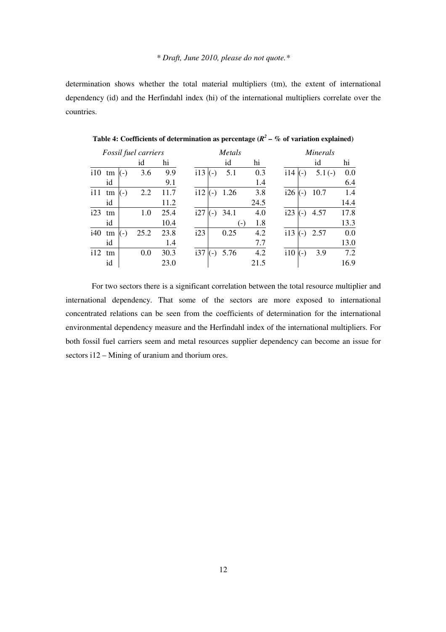determination shows whether the total material multipliers (tm), the extent of international dependency (id) and the Herfindahl index (hi) of the international multipliers correlate over the countries.

|     |    |       | Fossil fuel carriers |      |     |       | Metals |      | <b>Minerals</b> |       |          |      |  |
|-----|----|-------|----------------------|------|-----|-------|--------|------|-----------------|-------|----------|------|--|
|     |    |       | id                   | hi   |     |       | id     | hi   |                 |       | id       | hi   |  |
| 110 | tm | $(-)$ | 3.6                  | 9.9  | i13 | $(-)$ | 5.1    | 0.3  | i14             | $(-)$ | $5.1(-)$ | 0.0  |  |
|     | id |       |                      | 9.1  |     |       |        | 1.4  |                 |       |          | 6.4  |  |
| 111 | tm | $(-)$ | 2.2                  | 11.7 | 112 | $(-)$ | 1.26   | 3.8  | i26             | $(-)$ | 10.7     | 1.4  |  |
|     | id |       |                      | 11.2 |     |       |        | 24.5 |                 |       |          | 14.4 |  |
| i23 | tm |       | 1.0                  | 25.4 | i27 | ( – ) | 34.1   | 4.0  | i23             | $(-)$ | 4.57     | 17.8 |  |
|     | id |       |                      | 10.4 |     |       | $(-)$  | 1.8  |                 |       |          | 13.3 |  |
| i40 | tm | $(-)$ | 25.2                 | 23.8 | i23 |       | 0.25   | 4.2  | i13             | $(-)$ | 2.57     | 0.0  |  |
|     | id |       |                      | 1.4  |     |       |        | 7.7  |                 |       |          | 13.0 |  |
| i12 | tm |       | 0.0                  | 30.3 | i37 | $(-)$ | 5.76   | 4.2  | i10             | $(-)$ | 3.9      | 7.2  |  |
|     | id |       |                      | 23.0 |     |       |        | 21.5 |                 |       |          | 16.9 |  |

Table 4: Coefficients of determination as percentage  $(R^2 - K)$  of variation explained)

 For two sectors there is a significant correlation between the total resource multiplier and international dependency. That some of the sectors are more exposed to international concentrated relations can be seen from the coefficients of determination for the international environmental dependency measure and the Herfindahl index of the international multipliers. For both fossil fuel carriers seem and metal resources supplier dependency can become an issue for sectors i12 – Mining of uranium and thorium ores.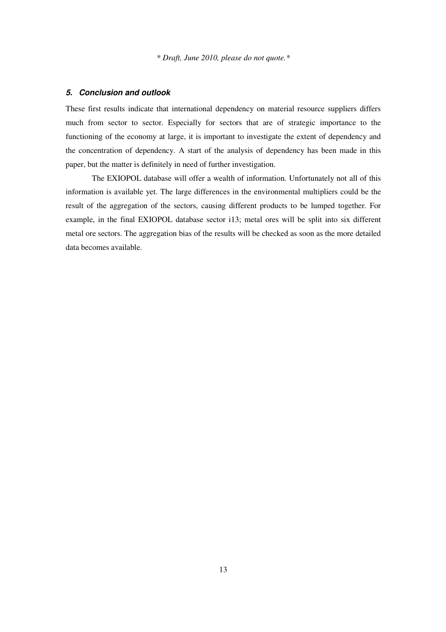#### **5. Conclusion and outlook**

These first results indicate that international dependency on material resource suppliers differs much from sector to sector. Especially for sectors that are of strategic importance to the functioning of the economy at large, it is important to investigate the extent of dependency and the concentration of dependency. A start of the analysis of dependency has been made in this paper, but the matter is definitely in need of further investigation.

 The EXIOPOL database will offer a wealth of information. Unfortunately not all of this information is available yet. The large differences in the environmental multipliers could be the result of the aggregation of the sectors, causing different products to be lumped together. For example, in the final EXIOPOL database sector i13; metal ores will be split into six different metal ore sectors. The aggregation bias of the results will be checked as soon as the more detailed data becomes available.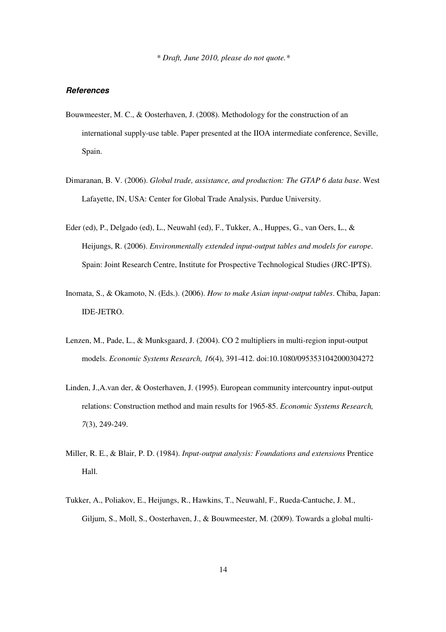#### **References**

- Bouwmeester, M. C., & Oosterhaven, J. (2008). Methodology for the construction of an international supply-use table. Paper presented at the IIOA intermediate conference, Seville, Spain.
- Dimaranan, B. V. (2006). *Global trade, assistance, and production: The GTAP 6 data base*. West Lafayette, IN, USA: Center for Global Trade Analysis, Purdue University.
- Eder (ed), P., Delgado (ed), L., Neuwahl (ed), F., Tukker, A., Huppes, G., van Oers, L., & Heijungs, R. (2006). *Environmentally extended input-output tables and models for europe*. Spain: Joint Research Centre, Institute for Prospective Technological Studies (JRC-IPTS).
- Inomata, S., & Okamoto, N. (Eds.). (2006). *How to make Asian input-output tables*. Chiba, Japan: IDE-JETRO.
- Lenzen, M., Pade, L., & Munksgaard, J. (2004). CO 2 multipliers in multi-region input-output models. *Economic Systems Research, 16*(4), 391-412. doi:10.1080/0953531042000304272
- Linden, J.,A.van der, & Oosterhaven, J. (1995). European community intercountry input-output relations: Construction method and main results for 1965-85. *Economic Systems Research, 7*(3), 249-249.
- Miller, R. E., & Blair, P. D. (1984). *Input-output analysis: Foundations and extensions* Prentice Hall.
- Tukker, A., Poliakov, E., Heijungs, R., Hawkins, T., Neuwahl, F., Rueda-Cantuche, J. M., Giljum, S., Moll, S., Oosterhaven, J., & Bouwmeester, M. (2009). Towards a global multi-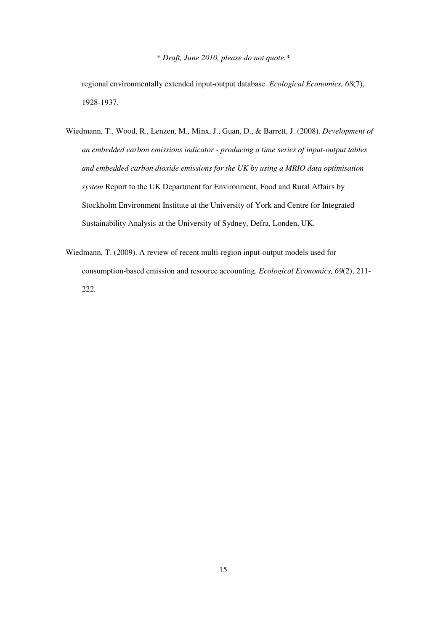regional environmentally extended input-output database. *Ecological Economics, 68*(7), 1928-1937.

- Wiedmann, T., Wood, R., Lenzen, M., Minx, J., Guan, D., & Barrett, J. (2008). *Development of an embedded carbon emissions indicator - producing a time series of input-output tables and embedded carbon dioxide emissions for the UK by using a MRIO data optimisation system* Report to the UK Department for Environment, Food and Rural Affairs by Stockholm Environment Institute at the University of York and Centre for Integrated Sustainability Analysis at the University of Sydney, Defra, Londen, UK.
- Wiedmann, T. (2009). A review of recent multi-region input-output models used for consumption-based emission and resource accounting. *Ecological Economics, 69*(2), 211- 222.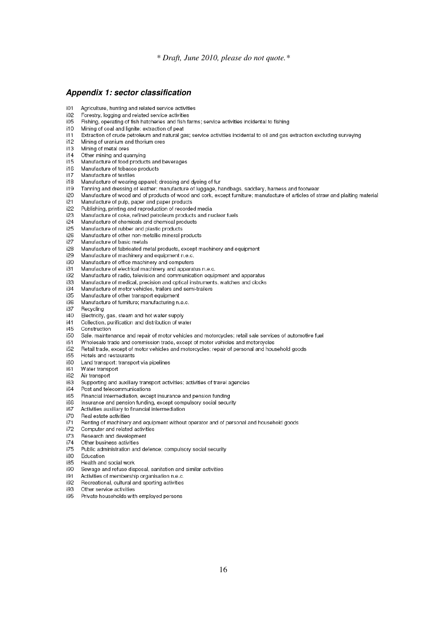#### **Appendix 1: sector classification**

- Agriculture, hunting and related service activities  $i01$
- Forestry, logging and related service activities  $i02$
- $i05$ Fishing, operating of fish hatcheries and fish farms; service activities incidental to fishing
- Mining of coal and lignite; extraction of peat i10
- $i11$ Extraction of crude petroleum and natural gas; service activities incidental to oil and gas extraction excluding surveying
- i12 Mining of uranium and thorium ores
- $i13$ Mining of metal ores
- $i14$ Other mining and quarrying
- i15 Manufacture of food products and beverages
- i16 Manufacture of tobacco products
- i17 Manufacture of textiles
- i18 Manufacture of wearing apparel; dressing and dyeing of fur
- Tanning and dressing of leather; manufacture of luggage, handbags, saddlery, harness and footwear i19
- Manufacture of wood and of products of wood and cork, except furniture; manufacture of articles of straw and plaiting material i20
- i21 Manufacture of pulp, paper and paper products
- Publishing, printing and reproduction of recorded media i22
- i23 Manufacture of coke, refined petroleum products and nuclear fuels
- i24 Manufacture of chemicals and chemical products
- i25 Manufacture of rubber and plastic products
- Manufacture of other non-metallic mineral products i26
- i27 Manufacture of basic metals
- Manufacture of fabricated metal products, except machinery and equipment i28
- i29 Manufacture of machinery and equipment n.e.c.
- Manufacture of office machinery and computers i30
- i31 Manufacture of electrical machinery and apparatus n.e.c.
- i32 Manufacture of radio, television and communication equipment and apparatus
- i33 Manufacture of medical, precision and optical instruments, watches and clocks
- Manufacture of motor vehicles, trailers and semi-trailers i34
- i35 Manufacture of other transport equipment
- a£i Manufacture of furniture; manufacturing n.e.c.
- i37 Recycling
- i40 Electricity, gas, steam and hot water supply
- i41 Collection, purification and distribution of water
- i45 Construction
- $i50$ Sale, maintenance and repair of motor vehicles and motorcycles; retail sale services of automotive fuel
- i51 Wholesale trade and commission trade, except of motor vehicles and motorcycles
- Retail trade, except of motor vehicles and motorcycles; repair of personal and household goods i52
- i55 Hotels and restaurants
- i60 Land transport; transport via pipelines
- i61 Water transport
- i62 Air transport
- i63 Supporting and auxiliary transport activities; activities of travel agencies
- i<sub>n4</sub> Post and telecommunications
- i65 Financial intermediation, except insurance and pension funding
- Insurance and pension funding, except compulsory social security i66
- i67 Activities auxiliary to financial intermediation
- i70 Real estate activities
- Renting of machinery and equipment without operator and of personal and household goods i71
- i72 Computer and related activities
- i73 Research and development
- i74 Other business activities
- Public administration and defence; compulsory social security i75
- i80 Education
- i85 Health and social work
- Sewage and refuse disposal, sanitation and similar activities iQ∩
- i91 Activities of membership organisation n.e.c.
- Recreational, cultural and sporting activities i92
- i93 Other service activities
- i95 Private households with employed persons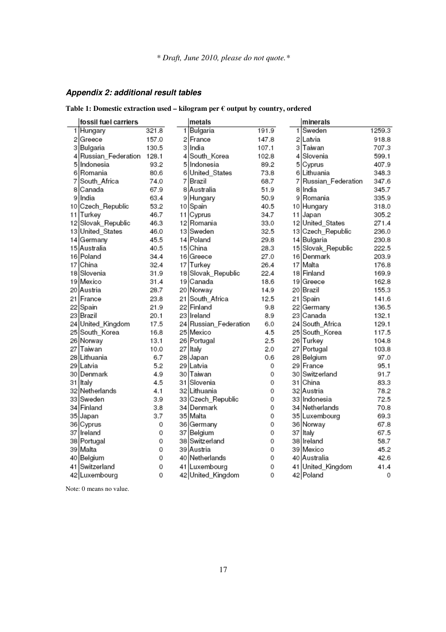## **Appendix 2: additional result tables**

**Table 1: Domestic extraction used – kilogram per € output by country, ordered** 

|    | fossil fuel carriers |       | metals                |       |    | minerals           |        |
|----|----------------------|-------|-----------------------|-------|----|--------------------|--------|
|    | 1 Hungary            | 321.8 | 1 Bulgaria            | 191.9 | 1. | Sweden             | 1259.3 |
| 2  | Greece               | 157.0 | 2 France              | 147.8 |    | 2 Latvia           | 918.8  |
| 3  | Bulgaria             | 130.5 | 3 India               | 107.1 |    | 3 Taiwan           | 707.3  |
|    | 4 Russian Federation | 128.1 | 4 South_Korea         | 102.8 |    | 4 Slovenia         | 599.1  |
| 5  | Indonesia            | 93.2  | 5 Indonesia           | 89.2  |    | 5 Cyprus           | 407.9  |
| 6  | Romania              | 80.6  | 6 United States       | 73.8  |    | 6 Lithuania        | 348.3  |
| 7  | South Africa         | 74.0  | 7   Brazil            | 68.7  | 71 | Russian Federation | 347.6  |
| 8  | Canada               | 67.9  | 8 Australia           | 51.9  |    | 8 India            | 345.7  |
| 9  | India                | 63.4  | 9 Hungary             | 50.9  |    | 9 Romania          | 335.9  |
| 10 | Czech_Republic       | 53.2  | 10 Spain              | 40.5  |    | 10 Hungary         | 318.0  |
| 11 | Turkey               | 46.7  | 11 Cyprus             | 34.7  |    | 11 Japan           | 305.2  |
|    | 12 Slovak_Republic   | 46.3  | 12 Romania            | 33.0  |    | 12 United_States   | 271.4  |
|    | 13 United_States     | 46.0  | 13 Sweden             | 32.5  |    | 13 Czech_Republic  | 236.0  |
|    | 14 Germany           | 45.5  | 14 Poland             | 29.8  |    | 14 Bulgaria        | 230.8  |
|    | 15 Australia         | 40.5  | 15 China              | 28.3  |    | 15 Slovak_Republic | 222.5  |
|    | 16 Poland            | 34.4  | 16 Greece             | 27.0  |    | 16 Denmark         | 203.9  |
| 17 | China                | 32.4  | 17 Turkey             | 26.4  |    | 17 Malta           | 176.8  |
|    | 18 Slovenia          | 31.9  | 18 Slovak_Republic    | 22.4  |    | 18 Finland         | 169.9  |
|    | 19 Mexico            | 31.4  | 19 Canada             | 18.6  |    | 19 Greece          | 162.8  |
|    | 20   Austria         | 28.7  | 20 Norway             | 14.9  |    | 20 Brazil          | 155.3  |
|    | 21   France          | 23.8  | 21 South Africa       | 12.5  |    | 21 Spain           | 141.6  |
|    | 22 Spain             | 21.9  | 22 Finland            | 9.8   |    | 22 Germany         | 136.5  |
|    | 23 Brazil            | 20.1  | 23 Ilreland           | 8.9   |    | 23 Canada          | 132.1  |
|    | 24 United_Kingdom    | 17.5  | 24 Russian_Federation | 6.0   |    | 24 South_Africa    | 129.1  |
| 25 | South_Korea          | 16.8  | 25 Mexico             | 4.5   |    | 25 South_Korea     | 117.5  |
|    | 26 Norway            | 13.1  | 26 Portugal           | 2.5   |    | 26 Turkey          | 104.8  |
| 27 | Taiwan               | 10.0  | 27 Italy              | 2.0   |    | 27 Portugal        | 103.8  |
|    | 28   Lithuania       | 6.7   | 28 Japan              | 0.6   |    | 28 Belgium         | 97.0   |
|    | 29 Latvia            | 5.2   | 29 Latvia             | 0     |    | 29   France        | 95.1   |
|    | 30   Denmark         | 4.9   | 30 lTaiwan            | 0     |    | 30 Switzerland     | 91.7   |
|    | 31   Italy           | 4.5   | 31   Slovenia         | 0     |    | 31 China           | 83.3   |
|    | 32 Netherlands       | 4.1   | 32 Lithuania          | 0     |    | 32 Austria         | 78.2   |
|    | 33 Sweden            | 3.9   | 33 Czech_Republic     | 0     |    | 33 Indonesia       | 72.5   |
|    | 34   Finland         | 3.8   | 34   Denmark          | 0     |    | 34 Netherlands     | 70.8   |
|    | 35 Japan             | 3.7   | 35 Malta              | 0     |    | 35 Luxembourg      | 69.3   |
|    | 36 Cyprus            | 0     | 36 Germany            | 0     |    | 36 Norway          | 67.8   |
|    | 37   Ireland         | 0     | 37 Belgium            | 0     |    | 37 Italy           | 67.5   |
|    | 38 Portugal          | 0     | 38 Switzerland        | 0     |    | 38 Ireland         | 58.7   |
|    | 39 Malta             | 0     | 39 Austria            | 0     |    | 39 Mexico          | 45.2   |
| 40 | Belgium              | 0     | 40 Netherlands        | 0     |    | 40 Australia       | 42.6   |
|    | 41 Switzerland       | 0     | 41 Luxembourg         | 0     |    | 41 United_Kingdom  | 41.4   |
|    | 42 Luxembourg        | 0     | 42 United_Kingdom     | 0     |    | 42 Poland          | 0      |

Note: 0 means no value.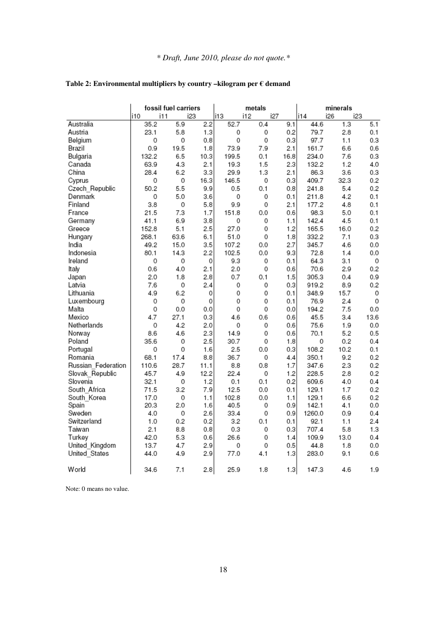|                    |            | fossil fuel carriers | metals |       | minerals   |      |        |            |      |
|--------------------|------------|----------------------|--------|-------|------------|------|--------|------------|------|
|                    | i10<br>i11 | i23                  |        | i13   | i12<br>i27 |      | i14    | i26<br>i23 |      |
| Australia          | 35.2       | 5.9                  | 2.2    | 52.7  | 0.4        | 9.1  | 44.6   | 1.3        | 5.1  |
| Austria            | 23.1       | 5.8                  | 1.3    | 0     | 0          | 0.2  | 79.7   | 2.8        | 0.1  |
| Belgium            | 0          | 0                    | 0.8    | 0     | 0          | 0.3  | 97.7   | 1.1        | 0.3  |
| Brazil             | 0.9        | 19.5                 | 1.8    | 73.9  | 7.9        | 2.1  | 161.7  | 6.6        | 0.6  |
| Bulgaria           | 132.2      | 6.5                  | 10.3   | 199.5 | 0.1        | 16.8 | 234.0  | 7.6        | 0.3  |
| Canada             | 63.9       | 4.3                  | 2.1    | 19.3  | 1.5        | 2.3  | 132.2  | 1.2        | 4.0  |
| China              | 28.4       | 6.2                  | 3.3    | 29.9  | 1.3        | 2.1  | 86.3   | 3.6        | 0.3  |
| Cyprus             | 0          | 0                    | 16.3   | 146.5 | 0          | 0.3  | 409.7  | 32.3       | 0.2  |
| Czech Republic     | 50.2       | 5.5                  | 9.9    | 0.5   | 0.1        | 0.8  | 241.8  | 5.4        | 0.2  |
| Denmark            | 0          | 5.0                  | 3.6    | 0     | 0          | 0.1  | 211.8  | 4.2        | 0.1  |
| Finland            | 3.8        | 0                    | 5.8    | 9.9   | 0          | 2.1  | 177.2  | 4.8        | 0.1  |
| France             | 21.5       | 7.3                  | 1.7    | 151.8 | 0.0        | 0.6  | 98.3   | 5.0        | 0.1  |
| Germany            | 41.1       | 6.9                  | 3.8    | 0     | 0          | 1.1  | 142.4  | 4.5        | 0.1  |
| Greece             | 152.8      | 5.1                  | 2.5    | 27.0  | 0          | 1.2  | 165.5  | 16.0       | 0.2  |
| Hungary            | 268.1      | 63.6                 | 6.1    | 51.0  | 0          | 1.8  | 332.2  | 7.1        | 0.3  |
| India              | 49.2       | 15.0                 | 3.5    | 107.2 | 0.0        | 2.7  | 345.7  | 4.6        | 0.0  |
| Indonesia          | 80.1       | 14.3                 | 2.2    | 102.5 | 0.0        | 9.3  | 72.8   | 1.4        | 0.0  |
| Ireland            | 0          | 0                    | 0      | 9.3   | 0          | 0.1  | 64.3   | 3.1        | 0    |
| ltaly              | 0.6        | 4.0                  | 2.1    | 2.0   | 0          | 0.6  | 70.6   | 2.9        | 0.2  |
| Japan              | 2.0        | 1.8                  | 2.8    | 0.7   | 0.1        | 1.5  | 305.3  | 0.4        | 0.9  |
| Latvia             | 7.6        | 0                    | 2.4    | 0     | 0          | 0.3  | 919.2  | 8.9        | 0.2  |
| Lithuania          | 4.9        | 6.2                  | 0      | 0     | 0          | 0.1  | 348.9  | 15.7       | 0    |
| Luxembourg         | 0          | 0                    | 0      | 0     | 0          | 0.1  | 76.9   | 2.4        | 0    |
| Malta              | 0          | 0.0                  | 0.0    | 0     | 0          | 0.0  | 194.2  | 7.5        | 0.0  |
| Mexico             | 4.7        | 27.1                 | 0.3    | 4.6   | 0.6        | 0.6  | 45.5   | 3.4        | 13.6 |
| Netherlands        | 0          | 4.2                  | 2.0    | 0     | 0          | 0.6  | 75.6   | 1.9        | 0.0  |
| Norway             | 8.6        | 4.6                  | 2.3    | 14.9  | 0          | 0.6  | 70.1   | 5.2        | 0.5  |
| Poland             | 35.6       | 0                    | 2.5    | 30.7  | 0          | 1.8  | 0      | 0.2        | 0.4  |
| Portugal           | 0          | 0                    | 1.6    | 2.5   | 0.0        | 0.3  | 108.2  | 10.2       | 0.1  |
| Romania            | 68.1       | 17.4                 | 8.8    | 36.7  | 0          | 4.4  | 350.1  | 9.2        | 0.2  |
| Russian Federation | 110.6      | 28.7                 | 11.1   | 8.8   | 0.8        | 1.7  | 347.6  | 2.3        | 0.2  |
| Slovak Republic    | 45.7       | 4.9                  | 12.2   | 22.4  | 0          | 1.2  | 228.5  | 2.8        | 0.2  |
| Slovenia           | 32.1       | 0                    | 1.2    | 0.1   | 0.1        | 0.2  | 609.6  | 4.0        | 0.4  |
| South Africa       | 71.5       | 3.2                  | 7.9    | 12.5  | 0.0        | 0.1  | 129.1  | 1.7        | 0.2  |
| South Korea        | 17.0       | 0                    | 1.1    | 102.8 | 0.0        | 1.1  | 129.1  | 6.6        | 0.2  |
| Spain              | 20.3       | 2.0                  | 1.6    | 40.5  | 0          | 0.9  | 142.1  | 4.1        | 0.0  |
| Sweden             | 4.0        | 0                    | 2.6    | 33.4  | 0          | 0.9  | 1260.0 | 0.9        | 0.4  |
| Switzerland        | 1.0        | 0.2                  | 0.2    | 3.2   | 0.1        | 0.1  | 92.1   | 1.1        | 2.4  |
| Taiwan             | 2.1        | 8.8                  | 0.8    | 0.3   | 0          | 0.3  | 707.4  | 5.8        | 1.3  |
| Turkey             | 42.0       | 5.3                  | 0.6    | 26.6  | 0          | 1.4  | 109.9  | 13.0       | 0.4  |
| United Kingdom     | 13.7       | 4.7                  | 2.9    | 0     | 0          | 0.5  | 44.8   | 1.8        | 0.0  |
| United States      | 44.0       | 4.9                  | 2.9    | 77.0  | 4.1        | 1.3  | 283.0  | 9.1        | 0.6  |
|                    |            |                      |        |       |            |      |        |            |      |
| World              | 34.6       | 7.1                  | 2.8    | 25.9  | 1.8        | 1.3  | 147.3  | 4.6        | 1.9  |

### **Table 2: Environmental multipliers by country –kilogram per € demand**

Note: 0 means no value.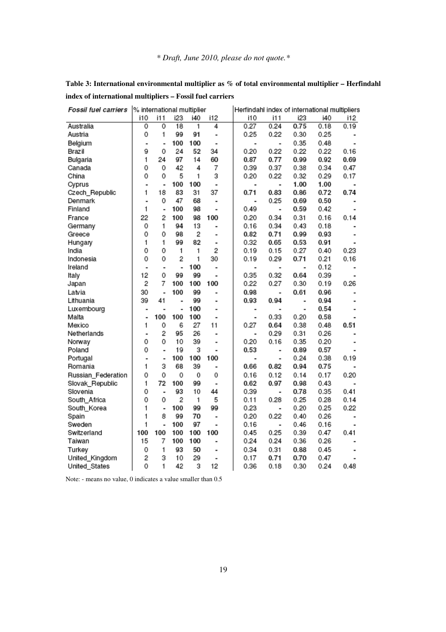| <b>Fossil fuel carriers</b> | % international multiplier |                |                 |     |                          | Herfindahl index of international multipliers |                          |                          |      |                          |
|-----------------------------|----------------------------|----------------|-----------------|-----|--------------------------|-----------------------------------------------|--------------------------|--------------------------|------|--------------------------|
|                             | i10                        | i11            | i23             | i40 | i12                      | i10                                           | i11                      | i23                      | i40  | i12                      |
| Australia                   | 0                          | 0              | $\overline{18}$ | 1   | 4                        | 0.27                                          | 0.24                     | 0.75                     | 0.18 | 0.19                     |
| Austria                     | 0                          | 1              | 99              | 91  | ٠                        | 0.25                                          | 0.22                     | 0.30                     | 0.25 |                          |
| Belgium                     |                            | ÷              | 100             | 100 | $\overline{a}$           | $\blacksquare$                                | $\overline{\phantom{a}}$ | 0.35                     | 0.48 | $\blacksquare$           |
| Brazil                      | 9                          | 0              | 24              | 52  | 34                       | 0.20                                          | 0.22                     | 0.22                     | 0.22 | 0.16                     |
| Bulgaria                    | 1                          | 24             | 97              | 14  | 60                       | 0.87                                          | 0.77                     | 0.99                     | 0.92 | 0.69                     |
| Canada                      | 0                          | 0              | 42              | 4   | 7                        | 0.39                                          | 0.37                     | 0.38                     | 0.34 | 0.47                     |
| China                       | 0                          | 0              | 5               | 1   | 3                        | 0.20                                          | 0.22                     | 0.32                     | 0.29 | 0.17                     |
| Cyprus                      | ٠                          | ٠              | 100             | 100 | ٠                        | $\overline{\phantom{a}}$                      | ÷                        | 1.00                     | 1.00 |                          |
| Czech_Republic              | 1                          | 18             | 83              | 31  | 37                       | 0.71                                          | 0.83                     | 0.86                     | 0.72 | 0.74                     |
| Denmark                     |                            | 0              | 47              | 68  |                          | $\blacksquare$                                | 0.25                     | 0.69                     | 0.50 |                          |
| Finland                     | 1                          | ÷,             | 100             | 98  | ٠                        | 0.49                                          | $\overline{\phantom{a}}$ | 0.59                     | 0.42 |                          |
| France                      | 22                         | $\overline{c}$ | 100             | 98  | 100                      | 0.20                                          | 0.34                     | 0.31                     | 0.16 | 0.14                     |
| Germany                     | 0                          | 1.             | 94              | 13  |                          | 0.16                                          | 0.34                     | 0.43                     | 0.18 |                          |
| Greece                      | 0                          | 0              | 98              | 2   |                          | 0.82                                          | 0.71                     | 0.99                     | 0.93 |                          |
| Hungary                     | 1                          | 1.             | 99              | 82  | $\overline{\phantom{a}}$ | 0.32                                          | 0.65                     | 0.53                     | 0.91 | $\blacksquare$           |
| India                       | 0                          | 0              | 1               | 1   | 2                        | 0.19                                          | 0.15                     | 0.27                     | 0.40 | 0.23                     |
| Indonesia                   | 0                          | 0              | $\overline{2}$  | 1   | 30                       | 0.19                                          | 0.29                     | 0.71                     | 0.21 | 0.16                     |
| Ireland                     | ٠                          | ۰              | ٠               | 100 |                          | ۰                                             | $\blacksquare$           | $\overline{\phantom{a}}$ | 0.12 | $\blacksquare$           |
| Italy                       | 12                         | 0              | 99              | 99  |                          | 0.35                                          | 0.32                     | 0.64                     | 0.39 |                          |
| Japan                       | 2                          | 7              | 100             | 100 | 100                      | 0.22                                          | 0.27                     | 0.30                     | 0.19 | 0.26                     |
| Latvia                      | 30                         | ٠              | 100             | 99  |                          | 0.98                                          | $\overline{\phantom{a}}$ | 0.61                     | 0.96 |                          |
| Lithuania                   | 39                         | 41             | ٠               | 99  | $\overline{a}$           | 0.93                                          | 0.94                     | $\overline{\phantom{a}}$ | 0.94 | $\blacksquare$           |
| Luxembourg                  |                            | ۰              | ٠               | 100 |                          | ۰                                             | $\blacksquare$           |                          | 0.54 | $\overline{\phantom{a}}$ |
| Malta                       |                            | 100            | 100             | 100 |                          | ۰                                             | 0.33                     | 0.20                     | 0.58 |                          |
| Mexico                      | 1                          | 0              | 6               | 27  | 11                       | 0.27                                          | 0.64                     | 0.38                     | 0.48 | 0.51                     |
| Netherlands                 |                            | 2              | 95              | 26  |                          |                                               | 0.29                     | 0.31                     | 0.26 |                          |
| Norway                      | 0                          | 0              | 10              | 39  |                          | 0.20                                          | 0.16                     | 0.35                     | 0.20 |                          |
| Poland                      | 0                          | ٠              | 19              | 3   | $\overline{a}$           | 0.53                                          | $\overline{\phantom{a}}$ | 0.89                     | 0.57 |                          |
| Portugal                    |                            | ٠              | 100             | 100 | 100                      | ۰                                             |                          | 0.24                     | 0.38 | 0.19                     |
| Romania                     | 1                          | з              | 68              | 39  | ٠                        | 0.66                                          | 0.82                     | 0.94                     | 0.75 |                          |
| Russian_Federation          | 0                          | 0              | 0               | 0   | 0                        | 0.16                                          | 0.12                     | 0.14                     | 0.17 | 0.20                     |
| Slovak_Republic             | 1                          | 72             | 100             | 99  | $\blacksquare$           | 0.62                                          | 0.97                     | 0.98                     | 0.43 |                          |
| Slovenia                    | 0                          | ٠              | 93              | 10  | 44                       | 0.39                                          | ٠                        | 0.78                     | 0.35 | 0.41                     |
| South_Africa                | 0                          | 0              | 2               | 1   | 5                        | 0.11                                          | 0.28                     | 0.25                     | 0.28 | 0.14                     |
| South Korea                 | 1                          | ٠              | 100             | 99  | 99                       | 0.23                                          | $\blacksquare$           | 0.20                     | 0.25 | 0.22                     |
| Spain                       | 1                          | 8              | 99              | 70  | ٠                        | 0.20                                          | 0.22                     | 0.40                     | 0.26 | $\overline{a}$           |
| Sweden                      | 1                          | ٠              | 100             | 97  | $\overline{\phantom{0}}$ | 0.16                                          |                          | 0.46                     | 0.16 |                          |
| Switzerland                 | 100                        | 100            | 100             | 100 | 100                      | 0.45                                          | 0.25                     | 0.39                     | 0.47 | 0.41                     |
| Taiwan                      | 15                         | 7              | 100             | 100 |                          | 0.24                                          | 0.24                     | 0.36                     | 0.26 |                          |
| Turkey                      | 0                          | 1              | 93              | 50  |                          | 0.34                                          | 0.31                     | 0.88                     | 0.45 |                          |
| United_Kingdom              | 2                          | з              | 10              | 29  |                          | 0.17                                          | 0.71                     | 0.70                     | 0.47 |                          |
| United_States               | 0                          | 1              | 42              | 3   | 12                       | 0.36                                          | 0.18                     | 0.30                     | 0.24 | 0.48                     |

**Table 3: International environmental multiplier as % of total environmental multiplier – Herfindahl index of international multipliers – Fossil fuel carriers** 

Note: - means no value, 0 indicates a value smaller than 0.5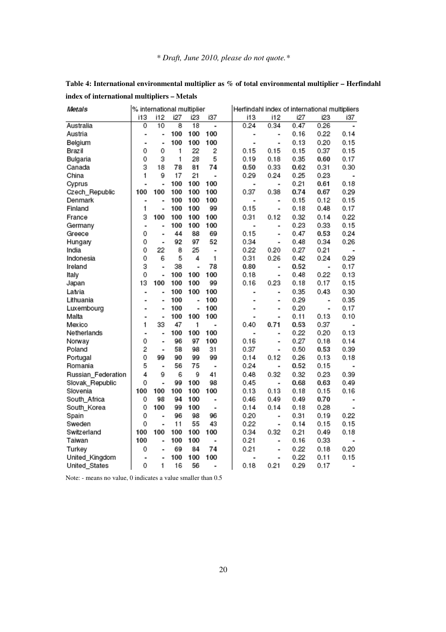| Metals             | % international multiplier |                          |     | Herfindahl index of international multipliers |     |  |                |                              |      |      |                          |
|--------------------|----------------------------|--------------------------|-----|-----------------------------------------------|-----|--|----------------|------------------------------|------|------|--------------------------|
|                    | i13                        | i12                      | i27 | i23                                           | i37 |  | i13            | i12                          | i27  | 23   | i37                      |
| Australia          | 0                          | 10                       | 8   | 18                                            | ÷,  |  | 0.24           | 0.34                         | 0.47 | 0.26 | $\overline{\phantom{a}}$ |
| Austria            | $\blacksquare$             | $\overline{\phantom{a}}$ | 100 | 100                                           | 100 |  |                | $\qquad \qquad \blacksquare$ | 0.16 | 0.22 | 0.14                     |
| Belgium            | $\blacksquare$             | ۰                        | 100 | 100                                           | 100 |  | $\overline{a}$ | ä,                           | 0.13 | 0.20 | 0.15                     |
| Brazil             | 0                          | 0                        | 1   | 22                                            | 2   |  | 0.15           | 0.15                         | 0.15 | 0.37 | 0.15                     |
| Bulgaria           | 0                          | З                        | 1   | 28                                            | 5   |  | 0.19           | 0.18                         | 0.35 | 0.60 | 0.17                     |
| Canada             | З                          | 18                       | 78  | 81                                            | 74  |  | 0.50           | 0.33                         | 0.62 | 0.31 | 0.30                     |
| China              | 1                          | 9                        | 17  | 21                                            | ÷   |  | 0.29           | 0.24                         | 0.25 | 0.23 | $\overline{\phantom{a}}$ |
| Cyprus             |                            |                          | 100 | 100                                           | 100 |  | ۰              | $\blacksquare$               | 0.21 | 0.61 | 0.18                     |
| Czech_Republic     | 100                        | 100                      | 100 | 100                                           | 100 |  | 0.37           | 0.38                         | 0.74 | 0.67 | 0.29                     |
| Denmark            |                            |                          | 100 | 100                                           | 100 |  | $\overline{a}$ |                              | 0.15 | 0.12 | 0.15                     |
| Finland            | 1                          | ٠                        | 100 | 100                                           | 99  |  | 0.15           | $\blacksquare$               | 0.18 | 0.48 | 0.17                     |
| France             | 3                          | 100                      | 100 | 100                                           | 100 |  | 0.31           | 0.12                         | 0.32 | 0.14 | 0.22                     |
| Germany            |                            |                          | 100 | 100                                           | 100 |  | ٠              | $\overline{\phantom{a}}$     | 0.23 | 0.33 | 0.15                     |
| Greece             | 0                          | $\overline{\phantom{a}}$ | 44  | 88                                            | 69  |  | 0.15           | $\overline{\phantom{a}}$     | 0.47 | 0.53 | 0.24                     |
| Hungary            | 0                          | $\overline{\phantom{a}}$ | 92  | 97                                            | 52  |  | 0.34           | $\overline{a}$               | 0.48 | 0.34 | 0.26                     |
| India              | 0                          | 22                       | 8   | 25                                            | ÷   |  | 0.22           | 0.20                         | 0.27 | 0.21 | ۰                        |
| Indonesia          | 0                          | 6                        | 5   | 4                                             | 1   |  | 0.31           | 0.26                         | 0.42 | 0.24 | 0.29                     |
| Ireland            | З                          | ٠                        | 38  | ٠                                             | 78  |  | 0.80           | ٠                            | 0.52 |      | 0.17                     |
| ltaly              | 0                          | ٠                        | 100 | 100                                           | 100 |  | 0.18           | $\overline{\phantom{a}}$     | 0.48 | 0.22 | 0.13                     |
| Japan              | 13                         | 100                      | 100 | 100                                           | 99  |  | 0.16           | 0.23                         | 0.18 | 0.17 | 0.15                     |
| Latvia             | $\blacksquare$             |                          | 100 | 100                                           | 100 |  | ۰              | ۰                            | 0.35 | 0.43 | 0.30                     |
| Lithuania          | $\blacksquare$             | $\blacksquare$           | 100 | ٠                                             | 100 |  |                |                              | 0.29 |      | 0.35                     |
| Luxembourg         | $\overline{\phantom{a}}$   | $\overline{\phantom{a}}$ | 100 |                                               | 100 |  |                |                              | 0.20 |      | 0.17                     |
| Malta              | $\blacksquare$             | $\blacksquare$           | 100 | 100                                           | 100 |  | -              | $\overline{\phantom{a}}$     | 0.11 | 0.13 | 0.10                     |
| Mexico             | 1                          | 33                       | 47  | 1                                             |     |  | 0.40           | 0.71                         | 0.53 | 0.37 |                          |
| Netherlands        |                            |                          | 100 | 100                                           | 100 |  |                | $\blacksquare$               | 0.22 | 0.20 | 0.13                     |
| Norway             | 0                          | $\blacksquare$           | 96  | 97                                            | 100 |  | 0.16           |                              | 0.27 | 0.18 | 0.14                     |
| Poland             | 2                          | $\overline{\phantom{a}}$ | 58  | 98                                            | 31  |  | 0.37           | ۰                            | 0.50 | 0.53 | 0.39                     |
| Portugal           | 0                          | 99                       | 90  | 99                                            | 99  |  | 0.14           | 0.12                         | 0.26 | 0.13 | 0.18                     |
| Romania            | 5                          | ٠                        | 56  | 75                                            | ٠   |  | 0.24           | $\blacksquare$               | 0.52 | 0.15 |                          |
| Russian_Federation | 4                          | 9                        | 6   | g                                             | 41  |  | 0.48           | 0.32                         | 0.32 | 0.23 | 0.39                     |
| Slovak_Republic    | 0                          | ٠                        | 99  | 100                                           | 98  |  | 0.45           | $\overline{\phantom{a}}$     | 0.68 | 0.63 | 0.49                     |
| Slovenia           | 100                        | 100                      | 100 | 100                                           | 100 |  | 0.13           | 0.13                         | 0.18 | 0.15 | 0.16                     |
| South Africa       | 0                          | 98                       | 94  | 100                                           | ٠   |  | 0.46           | 0.49                         | 0.49 | 0.70 | ۰                        |
| South_Korea        | 0                          | 100                      | 99  | 100                                           | ٠   |  | 0.14           | 0.14                         | 0.18 | 0.28 | ۰                        |
| Spain              | 0                          | $\blacksquare$           | 96  | 98                                            | 96  |  | 0.20           | $\blacksquare$               | 0.31 | 0.19 | 0.22                     |
| Sweden             | 0                          | $\overline{\phantom{a}}$ | 11  | 55                                            | 43  |  | 0.22           | $\blacksquare$               | 0.14 | 0.15 | 0.15                     |
| Switzerland        | 100                        | 100                      | 100 | 100                                           | 100 |  | 0.34           | 0.32                         | 0.21 | 0.49 | 0.18                     |
| Taiwan             | 100                        |                          | 100 | 100                                           | ٠   |  | 0.21           | $\blacksquare$               | 0.16 | 0.33 | ۰                        |
| Turkey             | 0                          | $\overline{\phantom{0}}$ | 69  | 84                                            | 74  |  | 0.21           | ۰                            | 0.22 | 0.18 | 0.20                     |
| United_Kingdom     | $\overline{a}$             | $\blacksquare$           | 100 | 100                                           | 100 |  | $\overline{a}$ |                              | 0.22 | 0.11 | 0.15                     |
| United_States      | 0                          | 1                        | 16  | 56                                            |     |  | 0.18           | 0.21                         | 0.29 | 0.17 | ۰                        |
|                    |                            |                          |     |                                               |     |  |                |                              |      |      |                          |

**Table 4: International environmental multiplier as % of total environmental multiplier – Herfindahl index of international multipliers – Metals** 

Note: - means no value, 0 indicates a value smaller than 0.5